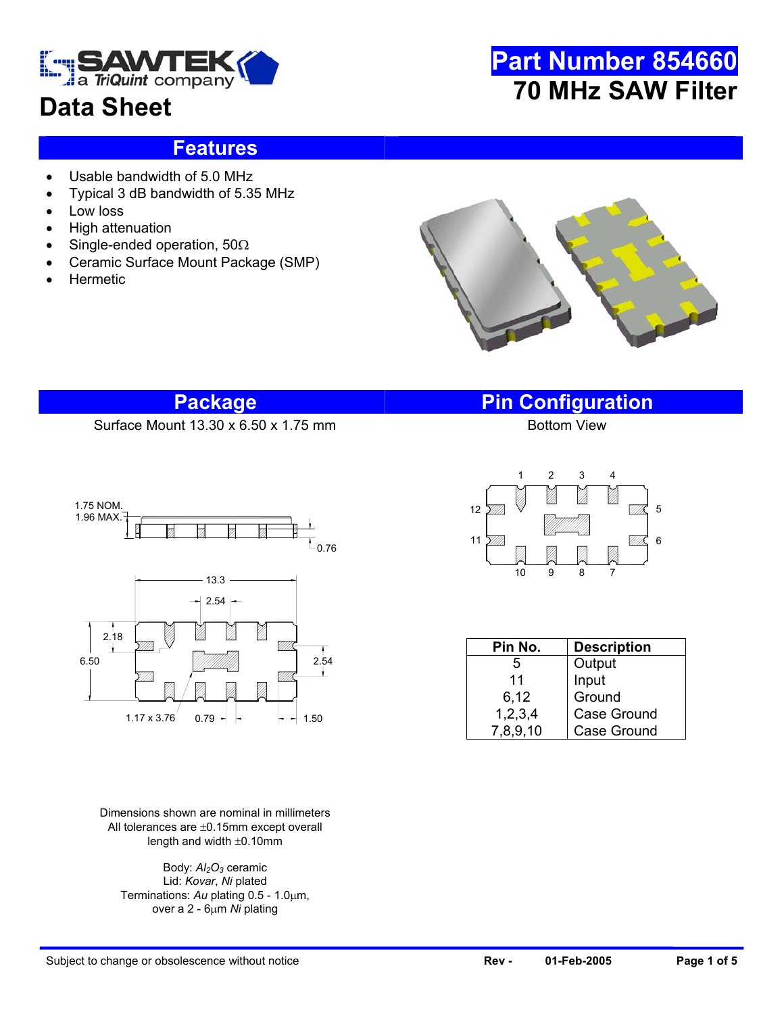

# **Data Sheet**

# **Part Number 854660 70 MHz SAW Filter**

#### **Features**

- Usable bandwidth of 5.0 MHz
- Typical 3 dB bandwidth of 5.35 MHz
- Low loss
- High attenuation
- Single-ended operation, 50Ω
- Ceramic Surface Mount Package (SMP)
- **Hermetic**



#### **Package Pin Configuration**

Surface Mount  $13.30 \times 6.50 \times 1.75$  mm



Dimensions shown are nominal in millimeters All tolerances are ±0.15mm except overall length and width ±0.10mm

Body:  $Al<sub>2</sub>O<sub>3</sub>$  ceramic Lid: *Kovar*, *Ni* plated Terminations: *Au* plating 0.5 - 1.0µm, over a 2 - 6µm *Ni* plating



| Pin No.    | <b>Description</b> |  |  |  |  |
|------------|--------------------|--|--|--|--|
| 5          | Output             |  |  |  |  |
| 11         | Input              |  |  |  |  |
| 6,12       | Ground             |  |  |  |  |
| 1, 2, 3, 4 | Case Ground        |  |  |  |  |
| 7,8,9,10   | <b>Case Ground</b> |  |  |  |  |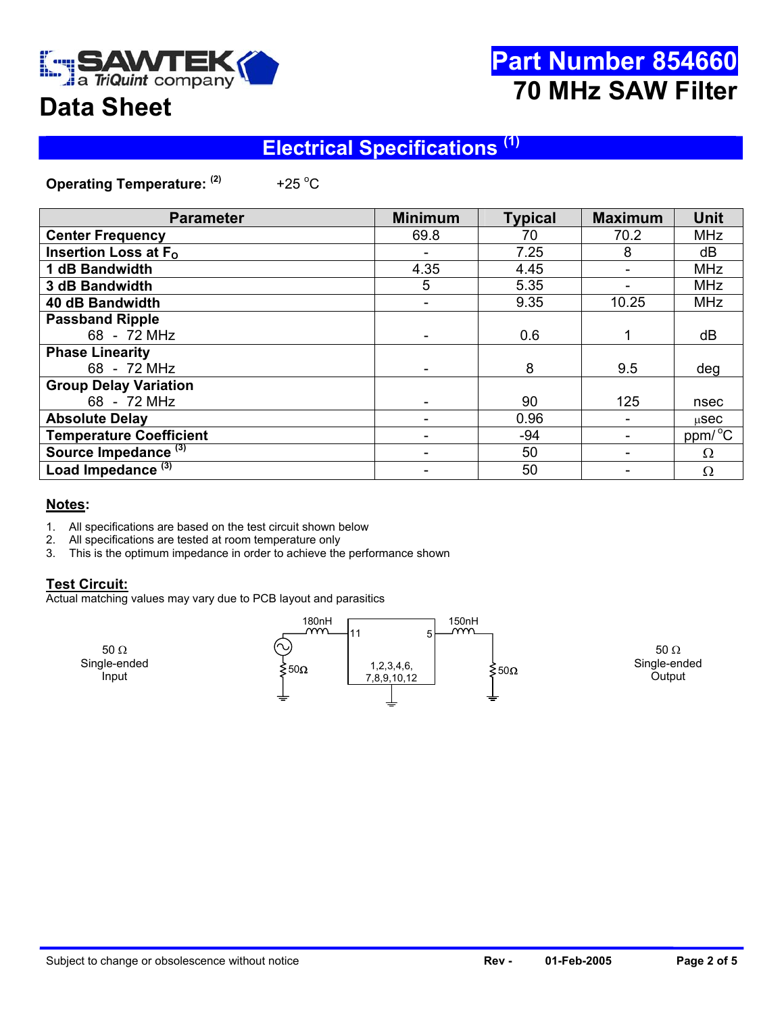

# **Part Number 854660 70 MHz SAW Filter**

# **Data Sheet**

## **Electrical Specifications (1)**

**Operating Temperature: (2)** +25 $^{\circ}$ C

| <b>Parameter</b>                | <b>Minimum</b> | <b>Typical</b> | <b>Maximum</b> | <b>Unit</b>         |
|---------------------------------|----------------|----------------|----------------|---------------------|
| <b>Center Frequency</b>         | 69.8           | 70             | 70.2           | <b>MHz</b>          |
| Insertion Loss at $F_{\Omega}$  |                | 7.25           | 8              | dB                  |
| 1 dB Bandwidth                  | 4.35           | 4.45           |                | <b>MHz</b>          |
| 3 dB Bandwidth                  | 5              | 5.35           |                | <b>MHz</b>          |
| 40 dB Bandwidth                 |                | 9.35           | 10.25          | <b>MHz</b>          |
| <b>Passband Ripple</b>          |                |                |                |                     |
| 68 - 72 MHz                     |                | 0.6            |                | dB                  |
| <b>Phase Linearity</b>          |                |                |                |                     |
| 68 - 72 MHz                     |                | 8              | 9.5            | deg                 |
| <b>Group Delay Variation</b>    |                |                |                |                     |
| 68 - 72 MHz                     |                | 90             | 125            | nsec                |
| <b>Absolute Delay</b>           |                | 0.96           |                | $\mu$ Sec           |
| <b>Temperature Coefficient</b>  |                | $-94$          |                | ppm/ <sup>o</sup> C |
| Source Impedance <sup>(3)</sup> |                | 50             |                | $\Omega$            |
| Load Impedance <sup>(3)</sup>   |                | 50             |                | Ω                   |

#### **Notes:**

- 1. All specifications are based on the test circuit shown below
- 2. All specifications are tested at room temperature only
- 3. This is the optimum impedance in order to achieve the performance shown

#### **Test Circuit:**

Actual matching values may vary due to PCB layout and parasitics

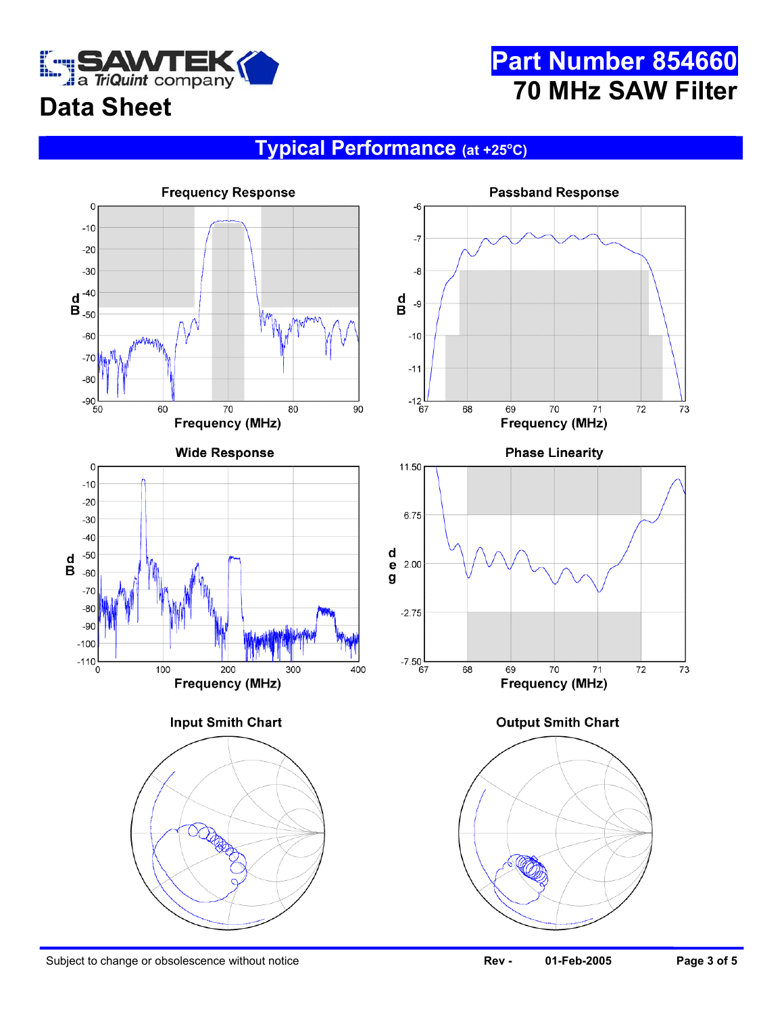

# **Part Number 854660 70 MHz SAW Filter**

# **Data Sheet**

#### **Typical Performance (at +25o C)**

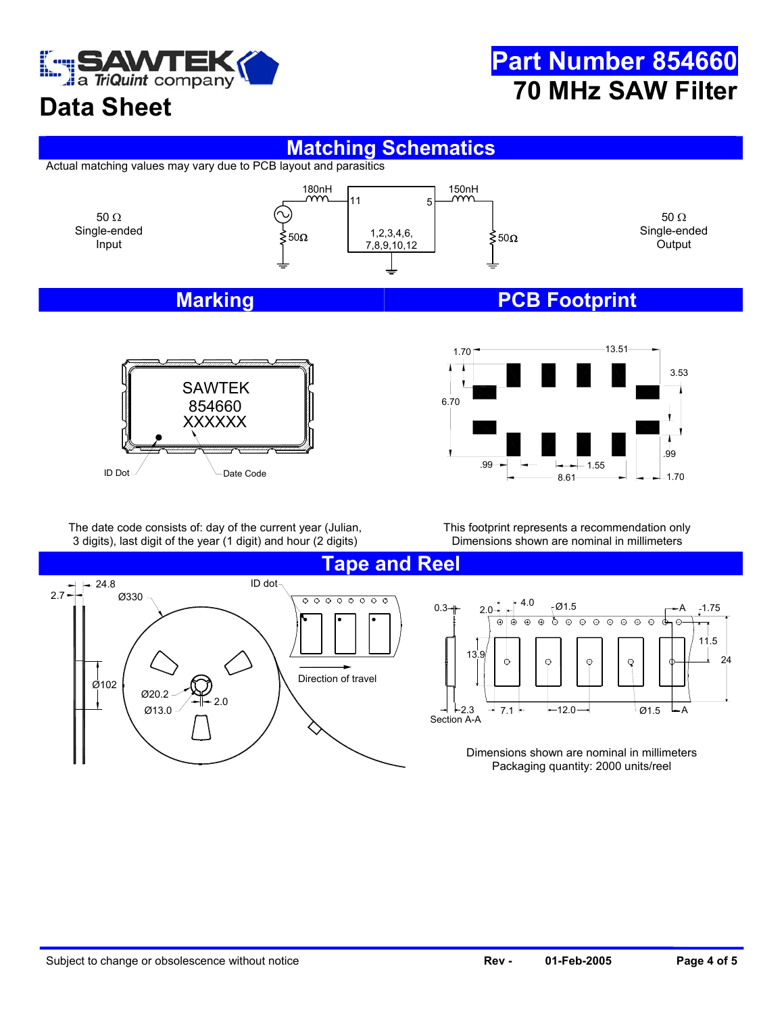

# **Part Number 854660 70 MHz SAW Filter**

# **Data Sheet**

#### **Matching Schematics**

Actual matching values may vary due to PCB layout and parasitics



#### **Marking Marking PCB Footprint**





The date code consists of: day of the current year (Julian, 3 digits), last digit of the year (1 digit) and hour (2 digits)

This footprint represents a recommendation only Dimensions shown are nominal in millimeters

> ক্ত  $\overline{\odot}$  $\overline{\odot}$  $\Theta$  $\overline{\odot}$  $\overline{\oplus}$  $\overline{\circ}$

 $\odot$ 

φ



 $- A$ 3  $\rightarrow$  7.1  $\leftarrow$  12.0  $\rightarrow$   $\leftarrow$  12.0  $-12.0$ 

Dimensions shown are nominal in millimeters Packaging quantity: 2000 units/reel

A

 $\oplus$ 

 $\oplus$ 

24

1.75

11.5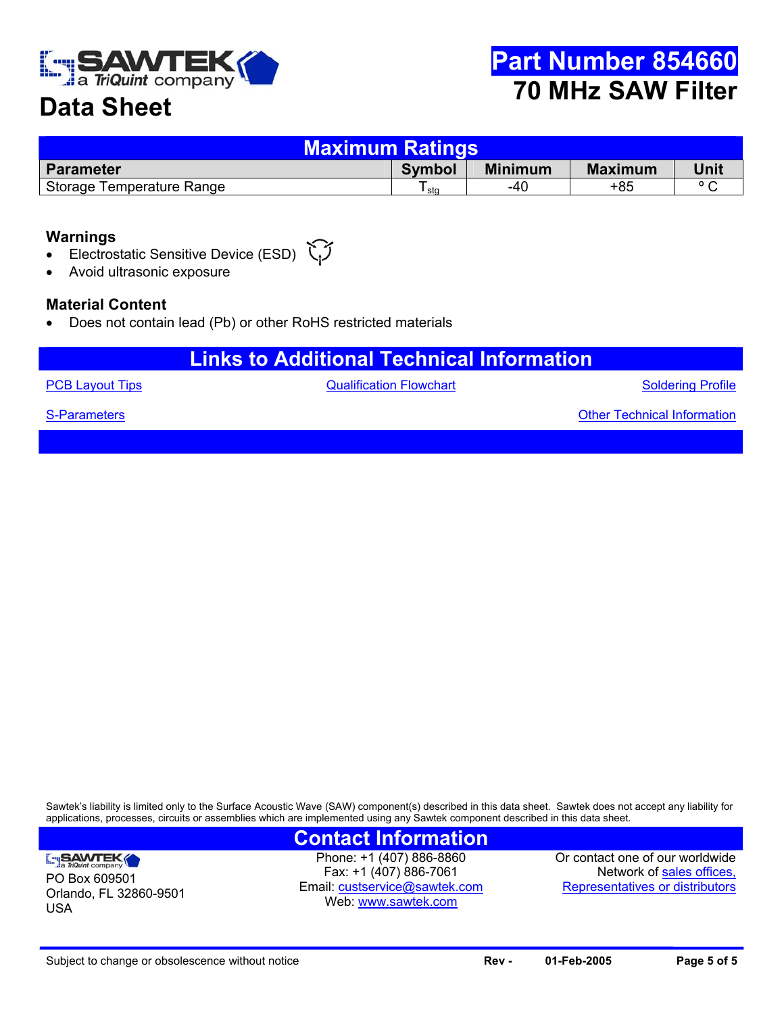

## **Data Sheet**

| <b>Maximum Ratings</b>    |               |                |                |                |  |  |  |
|---------------------------|---------------|----------------|----------------|----------------|--|--|--|
| <b>Parameter</b>          | <b>Symbol</b> | <b>Minimum</b> | <b>Maximum</b> | Unit           |  |  |  |
| Storage Temperature Range | sta           | -40            | +85            | $\circ$ $\sim$ |  |  |  |

#### **Warnings**

- Electrostatic Sensitive Device (ESD)
- Avoid ultrasonic exposure

#### **Material Content**

• Does not contain lead (Pb) or other RoHS restricted materials

### **Links to Additional Technical Information**

**[PCB Layout Tips](http://www.triquint.com/company/divisions/sawtek/pcbtips.cfm) CONFIDENTIAL CONTROLLY A CONTROLLY CONTROLLY A CONTROLLY A CONTROLLY A CONTROLLY A CONTROLLY A CONTROLLY A CONTROLLY A CONTROLLY A CONTROLLY A CONTROLLY A CONTROLLY A CONTROLLY A CONTROLLY A CONTROLLY A** 

Soldering Profile

Other Technical Information

[S-Parameters](mailto:custservice@sawtek.com?subject=S-parameter request)

PO Box 609501

SAWTEK

USA

Orlando, FL 32860-9501

Sawtek's liability is limited only to the Surface Acoustic Wave (SAW) component(s) described in this data sheet. Sawtek does not accept any liability for applications, processes, circuits or assemblies which are implemented using any Sawtek component described in this data sheet.

#### **Contact Information**

Phone: +1 (407) 886-8860 Fax: +1 (407) 886-7061 Email: [custservice@sawtek.com](mailto:custservice@sawtek.com) Web: [www.sawtek.com](http://www.triquint.com/company/divisions/sawtek/)

Or contact one of our worldwide Network of [sales offices,](http://www.triquint.com/sales/) Representatives or distributors

Subject to change or obsolescence without notice **Rev - Mage 1 and 2005 Page 5 of 5 Page 5 of 5**